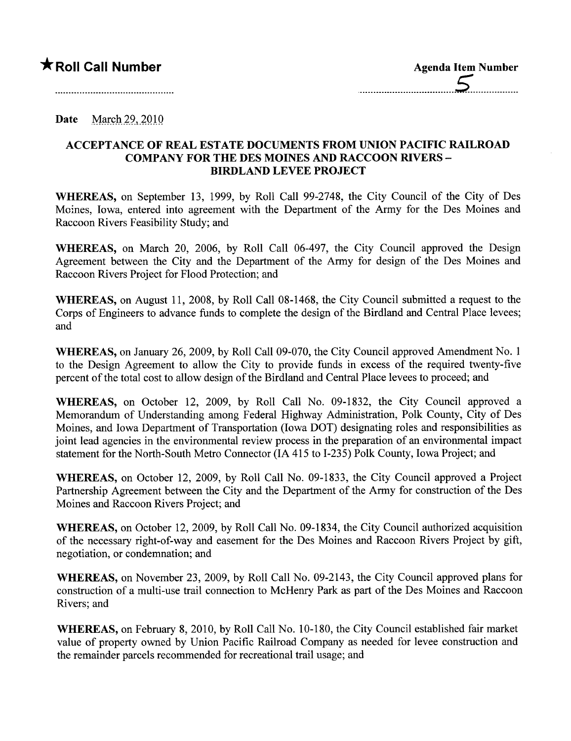Date March 29, 2010

## ACCEPTANCE OF REAL ESTATE DOCUMENTS FROM UNION PACIFIC RAILROAD COMPANY FOR THE DES MOINES AND RACCOON RIVERS - BIRDLAND LEVEE PROJECT

WHEREAS, on September 13, 1999, by Roll Call 99-2748, the City Council of the City of Des Moines, Iowa, entered into agreement with the Department of the Army for the Des Moines and Raccoon Rivers Feasibility Study; and

WHEREAS, on March 20, 2006, by Roll Call 06-497, the City Council approved the Design Agreement between the City and the Department of the Army for design of the Des Moines and Raccoon Rivers Project for Flood Protection; and

WHEREAS, on August 11, 2008, by Roll Call 08-1468, the City Council submitted a request to the Corps of Engineers to advance fuds to complete the design of the Birdland and Central Place levees; and

WHEREAS, on January 26, 2009, by Roll Call 09-070, the City Council approved Amendment No.1 to the Design Agreement to allow the City to provide fuds in excess of the required twenty-five percent of the total cost to allow design of the Birdland and Central Place levees to proceed; and

WHEREAS, on October 12, 2009, by Roll Call No. 09-1832, the City Council approved a Memorandum of Understanding among Federal Highway Administration, Polk County, City of Des Moines, and Iowa Department of Transportation (Iowa DOT) designating roles and responsibilities as joint lead agencies in the environmental review process in the preparation of an environmental impact statement for the North-South Metro Connector (IA 415 to 1-235) Polk County, Iowa Project; and

WHEREAS, on October 12, 2009, by Roll Call No. 09-1833, the City Council approved a Project Partnership Agreement between the City and the Deparment of the Army for construction of the Des Moines and Raccoon Rivers Project; and

WHEREAS, on October 12,2009, by Roll Call No. 09-1834, the City Council authorized acquisition of the necessary right-of-way and easement for the Des Moines and Raccoon Rivers Project by gift, negotiation, or condemnation; and

WHEREAS, on November 23, 2009, by Roll Call No. 09-2143, the City Council approved plans for construction of a multi-use trail connection to McHenry Park as part of the Des Moines and Raccoon Rivers; and

WHEREAS, on February 8, 2010, by Roll Call No. 10-180, the City Council established fair market value of property owned by Union Pacific Railroad Company as needed for levee construction and the remainder parcels recommended for recreational trail usage; and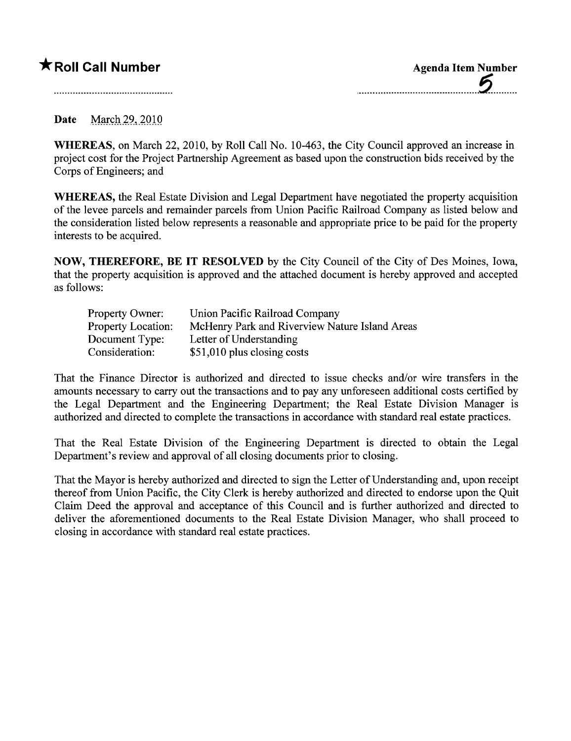## **★ Roll Call Number** Agenda Item Number

Date March 29, 2010

WHEREAS, on March 22, 2010, by Roll Call No. 10-463, the City Council approved an increase in project cost for the Project Partnership Agreement as based upon the construction bids received by the Corps of Engineers; and

WHEREAS, the Real Estate Division and Legal Department have negotiated the property acquisition of the levee parcels and remainder parcels from Union Pacific Railroad Company as listed below and the consideration listed below represents a reasonable and appropriate price to be paid for the property interests to be acquired.

NOW, THEREFORE, BE IT RESOLVED by the City Council of the City of Des Moines, Iowa, that the property acquisition is approved and the attached document is hereby approved and accepted as follows:

| Property Owner:           | Union Pacific Railroad Company                 |
|---------------------------|------------------------------------------------|
| <b>Property Location:</b> | McHenry Park and Riverview Nature Island Areas |
| Document Type:            | Letter of Understanding                        |
| Consideration:            | \$51,010 plus closing costs                    |

That the Finance Director is authorized and directed to issue checks and/or wire transfers in the amounts necessary to carry out the transactions and to pay any unforeseen additional costs certified by the Legal Department and the Engineering Department; the Real Estate Division Manager is authorized and directed to complete the transactions in accordance with standard real estate practices.

That the Real Estate Division of the Engineering Deparment is directed to obtain the Legal Department's review and approval of all closing documents prior to closing.

That the Mayor is hereby authorized and directed to sign the Letter of Understanding and, upon receipt thereof from Union Pacific, the City Clerk is hereby authorized and directed to endorse upon the Quit Claim Deed the approval and acceptance of this Council and is further authorized and directed to deliver the aforementioned documents to the Real Estate Division Manager, who shall proceed to closing in accordance with standard real estate practices.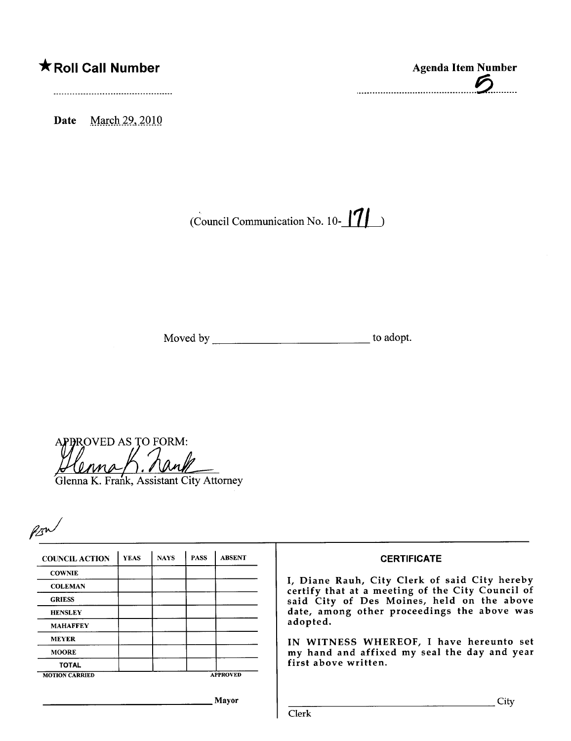## **K** Roll Call Number

Date March 29, 2010

**Agenda Item Number** 

(Council Communication No. 10- $\blacksquare$ 

**APPROVED AS TO FORM:** 

Glenna K. Frank, Assistant City Attorney

| <b>COUNCIL ACTION</b> | <b>YEAS</b> | <b>NAYS</b> | <b>PASS</b>     | <b>ABSENT</b> |
|-----------------------|-------------|-------------|-----------------|---------------|
| <b>COWNIE</b>         |             |             |                 |               |
| <b>COLEMAN</b>        |             |             |                 |               |
| <b>GRIESS</b>         |             |             |                 |               |
| <b>HENSLEY</b>        |             |             |                 |               |
| <b>MAHAFFEY</b>       |             |             |                 |               |
| <b>MEYER</b>          |             |             |                 |               |
| <b>MOORE</b>          |             |             |                 |               |
| <b>TOTAL</b>          |             |             |                 |               |
| <b>MOTION CARRIED</b> |             |             | <b>APPROVED</b> |               |

## **CERTIFICATE**

I, Diane Rauh, City Clerk of said City hereby certify that at a meeting of the City Council of<br>said City of Des Moines, held on the above date, among other proceedings the above was adopted.

IN WITNESS WHEREOF, I have hereunto set my hand and affixed my seal the day and year first above written.

Mayor

Clerk